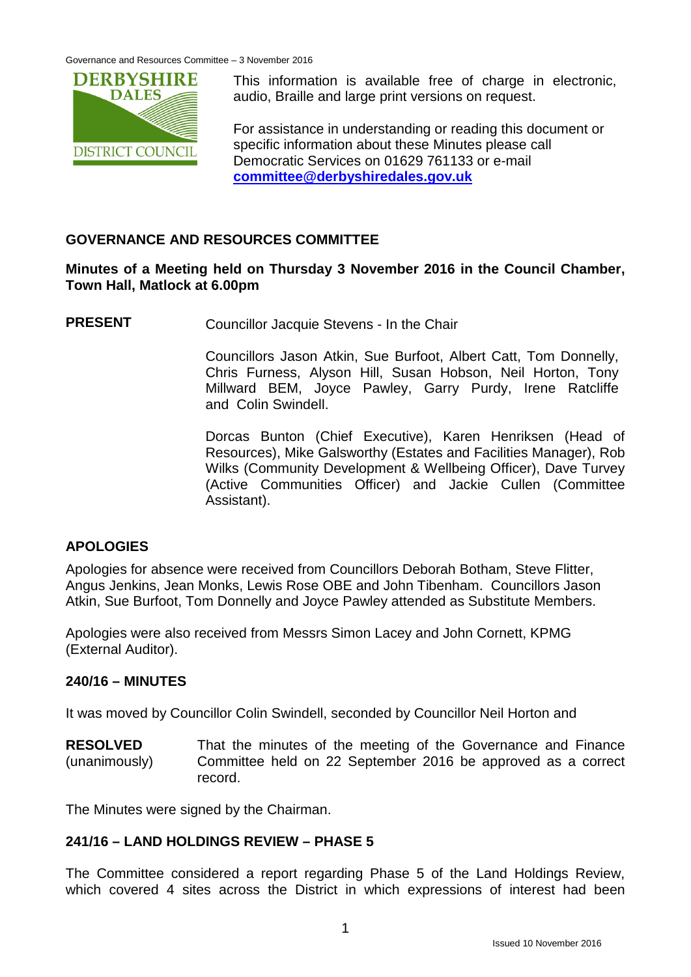

This information is available free of charge in electronic, audio, Braille and large print versions on request.

For assistance in understanding or reading this document or specific information about these Minutes please call Democratic Services on 01629 761133 or e-mail **[committee@derbyshiredales.gov.uk](mailto:committee@derbyshiredales.gov.uk)**

# **GOVERNANCE AND RESOURCES COMMITTEE**

## **Minutes of a Meeting held on Thursday 3 November 2016 in the Council Chamber, Town Hall, Matlock at 6.00pm**

**PRESENT** Councillor Jacquie Stevens - In the Chair

Councillors Jason Atkin, Sue Burfoot, Albert Catt, Tom Donnelly, Chris Furness, Alyson Hill, Susan Hobson, Neil Horton, Tony Millward BEM, Joyce Pawley, Garry Purdy, Irene Ratcliffe and Colin Swindell.

Dorcas Bunton (Chief Executive), Karen Henriksen (Head of Resources), Mike Galsworthy (Estates and Facilities Manager), Rob Wilks (Community Development & Wellbeing Officer), Dave Turvey (Active Communities Officer) and Jackie Cullen (Committee Assistant).

# **APOLOGIES**

Apologies for absence were received from Councillors Deborah Botham, Steve Flitter, Angus Jenkins, Jean Monks, Lewis Rose OBE and John Tibenham. Councillors Jason Atkin, Sue Burfoot, Tom Donnelly and Joyce Pawley attended as Substitute Members.

Apologies were also received from Messrs Simon Lacey and John Cornett, KPMG (External Auditor).

# **240/16 – MINUTES**

It was moved by Councillor Colin Swindell, seconded by Councillor Neil Horton and

**RESOLVED** (unanimously) That the minutes of the meeting of the Governance and Finance Committee held on 22 September 2016 be approved as a correct record.

The Minutes were signed by the Chairman.

# **241/16 – LAND HOLDINGS REVIEW – PHASE 5**

The Committee considered a report regarding Phase 5 of the Land Holdings Review, which covered 4 sites across the District in which expressions of interest had been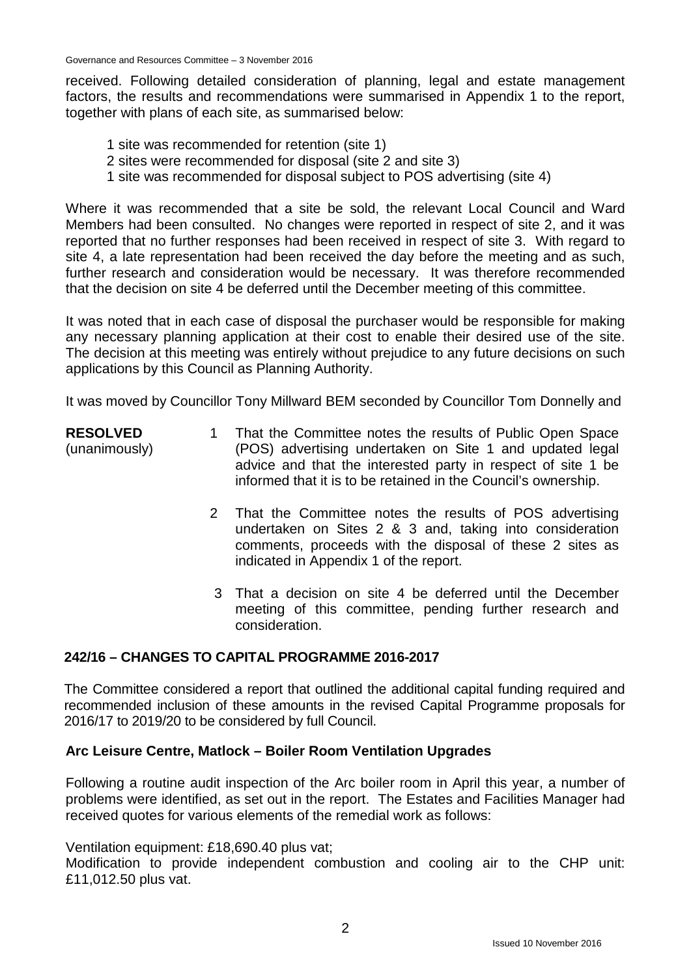received. Following detailed consideration of planning, legal and estate management factors, the results and recommendations were summarised in Appendix 1 to the report, together with plans of each site, as summarised below:

- 1 site was recommended for retention (site 1)
- 2 sites were recommended for disposal (site 2 and site 3)
- 1 site was recommended for disposal subject to POS advertising (site 4)

Where it was recommended that a site be sold, the relevant Local Council and Ward Members had been consulted. No changes were reported in respect of site 2, and it was reported that no further responses had been received in respect of site 3. With regard to site 4, a late representation had been received the day before the meeting and as such, further research and consideration would be necessary. It was therefore recommended that the decision on site 4 be deferred until the December meeting of this committee.

It was noted that in each case of disposal the purchaser would be responsible for making any necessary planning application at their cost to enable their desired use of the site. The decision at this meeting was entirely without prejudice to any future decisions on such applications by this Council as Planning Authority.

It was moved by Councillor Tony Millward BEM seconded by Councillor Tom Donnelly and

| <b>RESOLVED</b> | That the Committee notes the results of Public Open Space      |
|-----------------|----------------------------------------------------------------|
| (unanimously)   | (POS) advertising undertaken on Site 1 and updated legal       |
|                 | advice and that the interested party in respect of site 1 be   |
|                 | informed that it is to be retained in the Council's ownership. |

- 2 That the Committee notes the results of POS advertising undertaken on Sites 2 & 3 and, taking into consideration comments, proceeds with the disposal of these 2 sites as indicated in Appendix 1 of the report.
- 3 That a decision on site 4 be deferred until the December meeting of this committee, pending further research and consideration.

# **242/16 – CHANGES TO CAPITAL PROGRAMME 2016-2017**

The Committee considered a report that outlined the additional capital funding required and recommended inclusion of these amounts in the revised Capital Programme proposals for 2016/17 to 2019/20 to be considered by full Council.

#### **Arc Leisure Centre, Matlock – Boiler Room Ventilation Upgrades**

Following a routine audit inspection of the Arc boiler room in April this year, a number of problems were identified, as set out in the report. The Estates and Facilities Manager had received quotes for various elements of the remedial work as follows:

Ventilation equipment: £18,690.40 plus vat;

Modification to provide independent combustion and cooling air to the CHP unit: £11,012.50 plus vat.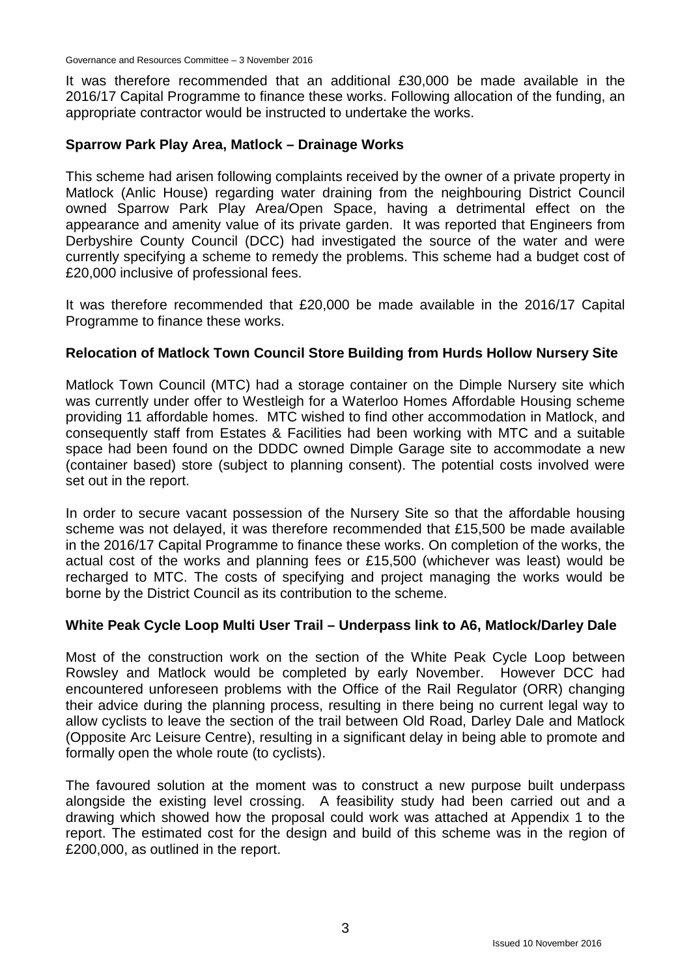It was therefore recommended that an additional £30,000 be made available in the 2016/17 Capital Programme to finance these works. Following allocation of the funding, an appropriate contractor would be instructed to undertake the works.

#### **Sparrow Park Play Area, Matlock – Drainage Works**

This scheme had arisen following complaints received by the owner of a private property in Matlock (Anlic House) regarding water draining from the neighbouring District Council owned Sparrow Park Play Area/Open Space, having a detrimental effect on the appearance and amenity value of its private garden. It was reported that Engineers from Derbyshire County Council (DCC) had investigated the source of the water and were currently specifying a scheme to remedy the problems. This scheme had a budget cost of £20,000 inclusive of professional fees.

It was therefore recommended that £20,000 be made available in the 2016/17 Capital Programme to finance these works.

#### **Relocation of Matlock Town Council Store Building from Hurds Hollow Nursery Site**

Matlock Town Council (MTC) had a storage container on the Dimple Nursery site which was currently under offer to Westleigh for a Waterloo Homes Affordable Housing scheme providing 11 affordable homes. MTC wished to find other accommodation in Matlock, and consequently staff from Estates & Facilities had been working with MTC and a suitable space had been found on the DDDC owned Dimple Garage site to accommodate a new (container based) store (subject to planning consent). The potential costs involved were set out in the report.

In order to secure vacant possession of the Nursery Site so that the affordable housing scheme was not delayed, it was therefore recommended that £15,500 be made available in the 2016/17 Capital Programme to finance these works. On completion of the works, the actual cost of the works and planning fees or £15,500 (whichever was least) would be recharged to MTC. The costs of specifying and project managing the works would be borne by the District Council as its contribution to the scheme.

#### **White Peak Cycle Loop Multi User Trail – Underpass link to A6, Matlock/Darley Dale**

Most of the construction work on the section of the White Peak Cycle Loop between Rowsley and Matlock would be completed by early November. However DCC had encountered unforeseen problems with the Office of the Rail Regulator (ORR) changing their advice during the planning process, resulting in there being no current legal way to allow cyclists to leave the section of the trail between Old Road, Darley Dale and Matlock (Opposite Arc Leisure Centre), resulting in a significant delay in being able to promote and formally open the whole route (to cyclists).

The favoured solution at the moment was to construct a new purpose built underpass alongside the existing level crossing. A feasibility study had been carried out and a drawing which showed how the proposal could work was attached at Appendix 1 to the report. The estimated cost for the design and build of this scheme was in the region of £200,000, as outlined in the report.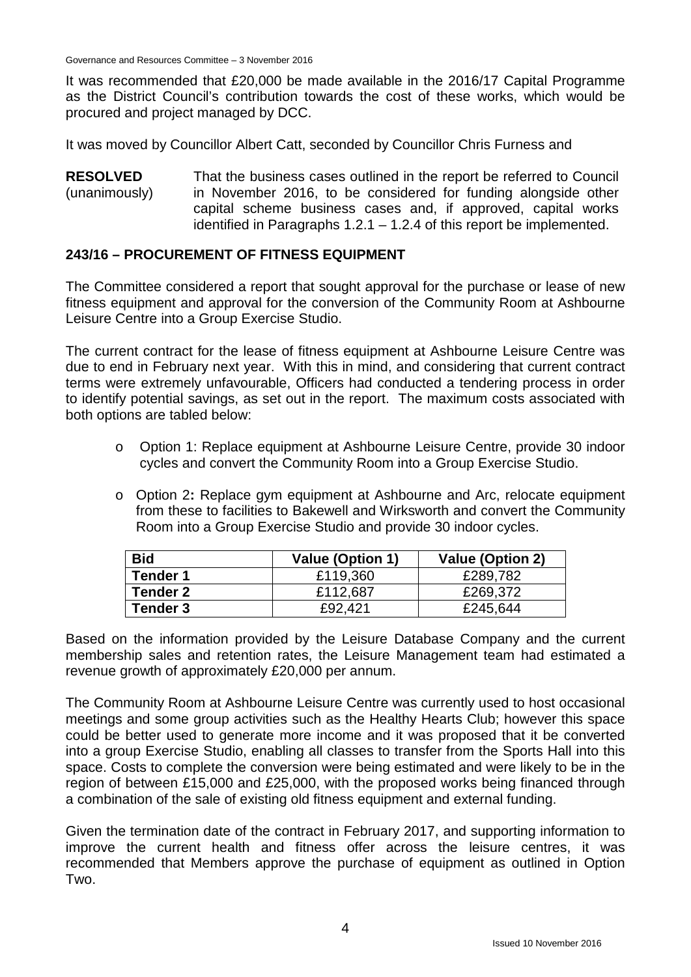It was recommended that £20,000 be made available in the 2016/17 Capital Programme as the District Council's contribution towards the cost of these works, which would be procured and project managed by DCC.

It was moved by Councillor Albert Catt, seconded by Councillor Chris Furness and

**RESOLVED** (unanimously) That the business cases outlined in the report be referred to Council in November 2016, to be considered for funding alongside other capital scheme business cases and, if approved, capital works identified in Paragraphs  $1.2.1 - 1.2.4$  of this report be implemented.

#### **243/16 – PROCUREMENT OF FITNESS EQUIPMENT**

The Committee considered a report that sought approval for the purchase or lease of new fitness equipment and approval for the conversion of the Community Room at Ashbourne Leisure Centre into a Group Exercise Studio.

The current contract for the lease of fitness equipment at Ashbourne Leisure Centre was due to end in February next year. With this in mind, and considering that current contract terms were extremely unfavourable, Officers had conducted a tendering process in order to identify potential savings, as set out in the report. The maximum costs associated with both options are tabled below:

- o Option 1: Replace equipment at Ashbourne Leisure Centre, provide 30 indoor cycles and convert the Community Room into a Group Exercise Studio.
- o Option 2**:** Replace gym equipment at Ashbourne and Arc, relocate equipment from these to facilities to Bakewell and Wirksworth and convert the Community Room into a Group Exercise Studio and provide 30 indoor cycles.

| <b>Bid</b>      | <b>Value (Option 1)</b> | <b>Value (Option 2)</b> |
|-----------------|-------------------------|-------------------------|
| <b>Tender 1</b> | £119,360                | £289,782                |
| Tender 2        | £112,687                | £269,372                |
| Tender 3        | £92.421                 | £245,644                |

Based on the information provided by the Leisure Database Company and the current membership sales and retention rates, the Leisure Management team had estimated a revenue growth of approximately £20,000 per annum.

The Community Room at Ashbourne Leisure Centre was currently used to host occasional meetings and some group activities such as the Healthy Hearts Club; however this space could be better used to generate more income and it was proposed that it be converted into a group Exercise Studio, enabling all classes to transfer from the Sports Hall into this space. Costs to complete the conversion were being estimated and were likely to be in the region of between £15,000 and £25,000, with the proposed works being financed through a combination of the sale of existing old fitness equipment and external funding.

Given the termination date of the contract in February 2017, and supporting information to improve the current health and fitness offer across the leisure centres, it was recommended that Members approve the purchase of equipment as outlined in Option Two.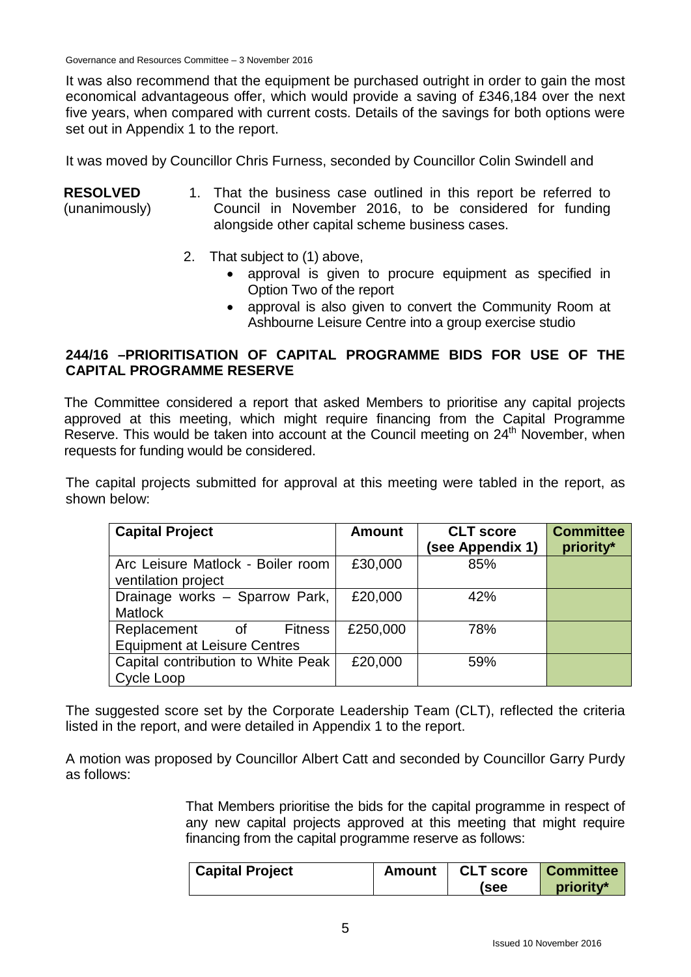It was also recommend that the equipment be purchased outright in order to gain the most economical advantageous offer, which would provide a saving of £346,184 over the next five years, when compared with current costs. Details of the savings for both options were set out in Appendix 1 to the report.

It was moved by Councillor Chris Furness, seconded by Councillor Colin Swindell and

#### **RESOLVED** (unanimously) 1. That the business case outlined in this report be referred to Council in November 2016, to be considered for funding alongside other capital scheme business cases.

- 2. That subject to (1) above,
	- approval is given to procure equipment as specified in Option Two of the report
	- approval is also given to convert the Community Room at Ashbourne Leisure Centre into a group exercise studio

## **244/16 –PRIORITISATION OF CAPITAL PROGRAMME BIDS FOR USE OF THE CAPITAL PROGRAMME RESERVE**

The Committee considered a report that asked Members to prioritise any capital projects approved at this meeting, which might require financing from the Capital Programme Reserve. This would be taken into account at the Council meeting on 24<sup>th</sup> November, when requests for funding would be considered.

The capital projects submitted for approval at this meeting were tabled in the report, as shown below:

| <b>Capital Project</b>                                                     | <b>Amount</b> | <b>CLT</b> score | <b>Committee</b> |
|----------------------------------------------------------------------------|---------------|------------------|------------------|
|                                                                            |               | (see Appendix 1) | priority*        |
| Arc Leisure Matlock - Boiler room<br>ventilation project                   | £30,000       | 85%              |                  |
| Drainage works - Sparrow Park,<br><b>Matlock</b>                           | £20,000       | 42%              |                  |
| Replacement<br><b>Fitness</b><br>of<br><b>Equipment at Leisure Centres</b> | £250,000      | 78%              |                  |
| Capital contribution to White Peak<br>Cycle Loop                           | £20,000       | 59%              |                  |

The suggested score set by the Corporate Leadership Team (CLT), reflected the criteria listed in the report, and were detailed in Appendix 1 to the report.

A motion was proposed by Councillor Albert Catt and seconded by Councillor Garry Purdy as follows:

> That Members prioritise the bids for the capital programme in respect of any new capital projects approved at this meeting that might require financing from the capital programme reserve as follows:

| <b>Capital Project</b> | Amount | <b>CLT score</b> Committee |           |
|------------------------|--------|----------------------------|-----------|
|                        |        | (see                       | priority* |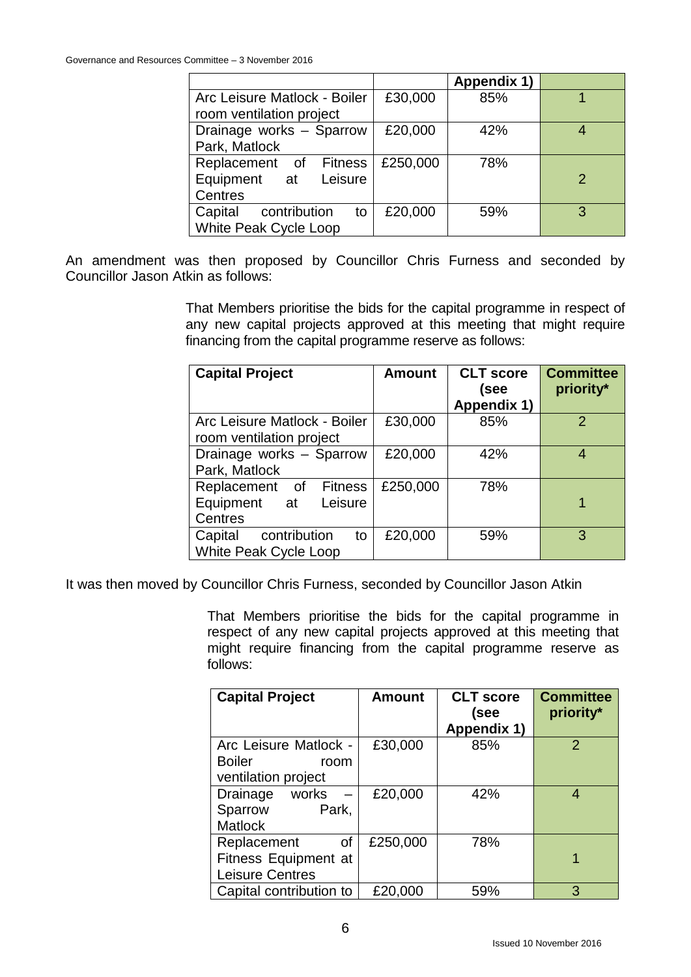|                               |          | Appendix 1) |               |
|-------------------------------|----------|-------------|---------------|
| Arc Leisure Matlock - Boiler  | £30,000  | 85%         |               |
| room ventilation project      |          |             |               |
| Drainage works - Sparrow      | £20,000  | 42%         |               |
| Park, Matlock                 |          |             |               |
| Replacement of Fitness        | £250,000 | 78%         |               |
| Equipment at<br>Leisure       |          |             | $\mathcal{P}$ |
| Centres                       |          |             |               |
| Capital<br>contribution<br>to | £20,000  | 59%         | 3             |
| <b>White Peak Cycle Loop</b>  |          |             |               |

An amendment was then proposed by Councillor Chris Furness and seconded by Councillor Jason Atkin as follows:

> That Members prioritise the bids for the capital programme in respect of any new capital projects approved at this meeting that might require financing from the capital programme reserve as follows:

| <b>Capital Project</b>        | <b>Amount</b> | <b>CLT</b> score | <b>Committee</b> |
|-------------------------------|---------------|------------------|------------------|
|                               |               | (see             | priority*        |
|                               |               | Appendix 1)      |                  |
| Arc Leisure Matlock - Boiler  | £30,000       | 85%              | $\mathcal{P}$    |
| room ventilation project      |               |                  |                  |
| Drainage works - Sparrow      | £20,000       | 42%              | 4                |
| Park, Matlock                 |               |                  |                  |
| Replacement of Fitness        | £250,000      | 78%              |                  |
| Equipment at<br>Leisure       |               |                  |                  |
| Centres                       |               |                  |                  |
| Capital<br>contribution<br>to | £20,000       | 59%              | 3                |
| White Peak Cycle Loop         |               |                  |                  |

It was then moved by Councillor Chris Furness, seconded by Councillor Jason Atkin

That Members prioritise the bids for the capital programme in respect of any new capital projects approved at this meeting that might require financing from the capital programme reserve as follows:

| <b>Capital Project</b>  | <b>Amount</b> | <b>CLT</b> score | <b>Committee</b> |
|-------------------------|---------------|------------------|------------------|
|                         |               | (see             | priority*        |
|                         |               | Appendix 1)      |                  |
| Arc Leisure Matlock -   | £30,000       | 85%              | 2                |
| <b>Boiler</b><br>room   |               |                  |                  |
| ventilation project     |               |                  |                  |
| works<br>Drainage       | £20,000       | 42%              | 4                |
| Sparrow<br>Park,        |               |                  |                  |
| <b>Matlock</b>          |               |                  |                  |
| Replacement<br>οf       | £250,000      | 78%              |                  |
| Fitness Equipment at    |               |                  | 1                |
| <b>Leisure Centres</b>  |               |                  |                  |
| Capital contribution to | £20,000       | 59%              | 3                |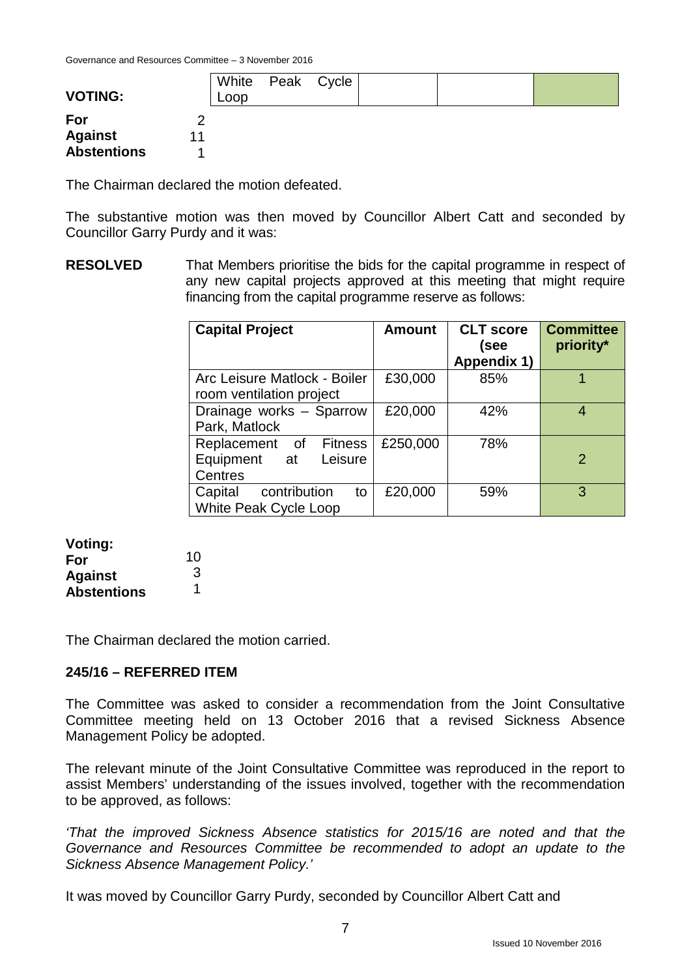| <b>VOTING:</b>     |    | White Peak Cycle<br>Loop |  |  |  |
|--------------------|----|--------------------------|--|--|--|
| For                |    |                          |  |  |  |
| <b>Against</b>     | 11 |                          |  |  |  |
| <b>Abstentions</b> |    |                          |  |  |  |

The Chairman declared the motion defeated.

The substantive motion was then moved by Councillor Albert Catt and seconded by Councillor Garry Purdy and it was:

**RESOLVED** That Members prioritise the bids for the capital programme in respect of any new capital projects approved at this meeting that might require financing from the capital programme reserve as follows:

| <b>Capital Project</b>                                        | <b>Amount</b> | <b>CLT</b> score<br>(see<br>Appendix 1) | <b>Committee</b><br>priority* |
|---------------------------------------------------------------|---------------|-----------------------------------------|-------------------------------|
| Arc Leisure Matlock - Boiler<br>room ventilation project      | £30,000       | 85%                                     |                               |
| Drainage works - Sparrow<br>Park, Matlock                     | £20,000       | 42%                                     |                               |
| Replacement of Fitness<br>Equipment at<br>Leisure<br>Centres  | £250,000      | 78%                                     | $\mathcal{P}$                 |
| Capital<br>contribution<br>to<br><b>White Peak Cycle Loop</b> | £20,000       | 59%                                     | 3                             |

#### **Voting: For**

| 10 |
|----|
| 3  |
|    |
|    |

The Chairman declared the motion carried.

#### **245/16 – REFERRED ITEM**

The Committee was asked to consider a recommendation from the Joint Consultative Committee meeting held on 13 October 2016 that a revised Sickness Absence Management Policy be adopted.

The relevant minute of the Joint Consultative Committee was reproduced in the report to assist Members' understanding of the issues involved, together with the recommendation to be approved, as follows:

*'That the improved Sickness Absence statistics for 2015/16 are noted and that the Governance and Resources Committee be recommended to adopt an update to the Sickness Absence Management Policy.'*

It was moved by Councillor Garry Purdy, seconded by Councillor Albert Catt and